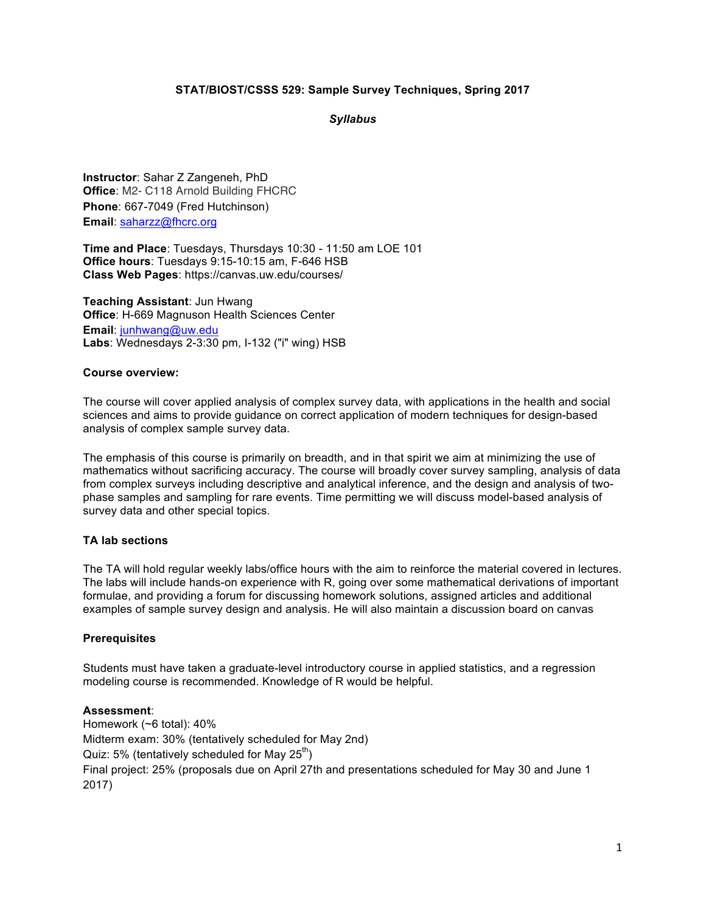## **STAT/BIOST/CSSS 529: Sample Survey Techniques, Spring 2017**

*Syllabus*

**Instructor**: Sahar Z Zangeneh, PhD **Office**: M2- C118 Arnold Building FHCRC **Phone**: 667-7049 (Fred Hutchinson) **Email**: saharzz@fhcrc.org

**Time and Place**: Tuesdays, Thursdays 10:30 - 11:50 am LOE 101 **Office hours**: Tuesdays 9:15-10:15 am, F-646 HSB **Class Web Pages**: https://canvas.uw.edu/courses/

**Teaching Assistant**: Jun Hwang **Office**: H-669 Magnuson Health Sciences Center **Email**: junhwang@uw.edu **Labs**: Wednesdays 2-3:30 pm, I-132 ("i" wing) HSB

#### **Course overview:**

The course will cover applied analysis of complex survey data, with applications in the health and social sciences and aims to provide guidance on correct application of modern techniques for design-based analysis of complex sample survey data.

The emphasis of this course is primarily on breadth, and in that spirit we aim at minimizing the use of mathematics without sacrificing accuracy. The course will broadly cover survey sampling, analysis of data from complex surveys including descriptive and analytical inference, and the design and analysis of twophase samples and sampling for rare events. Time permitting we will discuss model-based analysis of survey data and other special topics.

## **TA lab sections**

The TA will hold regular weekly labs/office hours with the aim to reinforce the material covered in lectures. The labs will include hands-on experience with R, going over some mathematical derivations of important formulae, and providing a forum for discussing homework solutions, assigned articles and additional examples of sample survey design and analysis. He will also maintain a discussion board on canvas

## **Prerequisites**

Students must have taken a graduate-level introductory course in applied statistics, and a regression modeling course is recommended. Knowledge of R would be helpful.

#### **Assessment**:

Homework (~6 total): 40% Midterm exam: 30% (tentatively scheduled for May 2nd) Quiz: 5% (tentatively scheduled for May  $25^{th}$ ) Final project: 25% (proposals due on April 27th and presentations scheduled for May 30 and June 1 2017)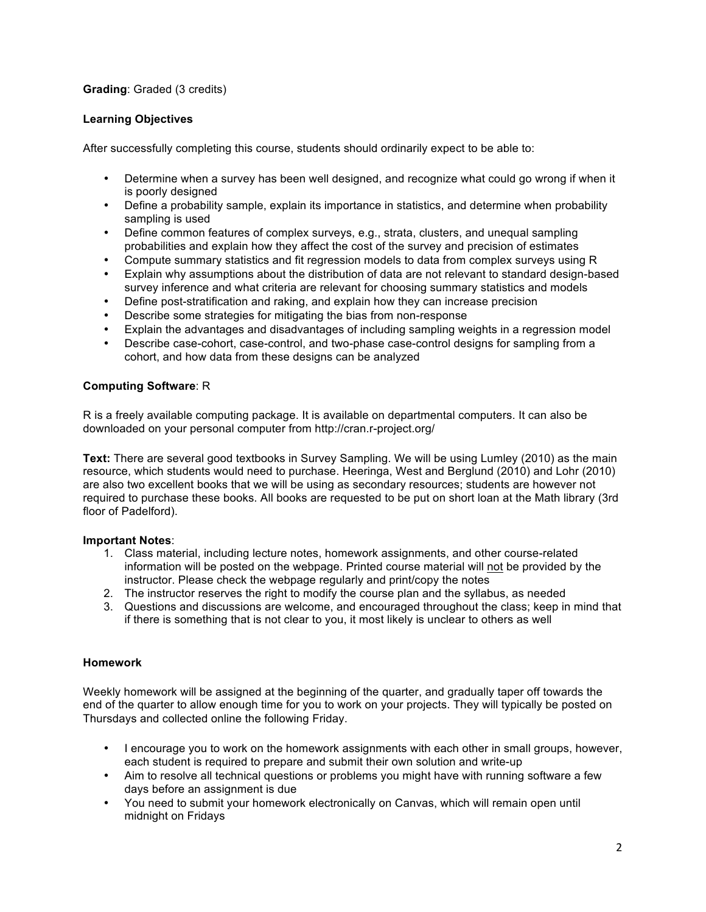# **Grading**: Graded (3 credits)

## **Learning Objectives**

After successfully completing this course, students should ordinarily expect to be able to:

- Determine when a survey has been well designed, and recognize what could go wrong if when it is poorly designed
- Define a probability sample, explain its importance in statistics, and determine when probability sampling is used
- Define common features of complex surveys, e.g., strata, clusters, and unequal sampling probabilities and explain how they affect the cost of the survey and precision of estimates
- Compute summary statistics and fit regression models to data from complex surveys using R
- Explain why assumptions about the distribution of data are not relevant to standard design-based survey inference and what criteria are relevant for choosing summary statistics and models
- Define post-stratification and raking, and explain how they can increase precision
- Describe some strategies for mitigating the bias from non-response
- Explain the advantages and disadvantages of including sampling weights in a regression model
- Describe case-cohort, case-control, and two-phase case-control designs for sampling from a cohort, and how data from these designs can be analyzed

## **Computing Software**: R

R is a freely available computing package. It is available on departmental computers. It can also be downloaded on your personal computer from http://cran.r-project.org/

**Text:** There are several good textbooks in Survey Sampling. We will be using Lumley (2010) as the main resource, which students would need to purchase. Heeringa, West and Berglund (2010) and Lohr (2010) are also two excellent books that we will be using as secondary resources; students are however not required to purchase these books. All books are requested to be put on short loan at the Math library (3rd floor of Padelford).

## **Important Notes**:

- 1. Class material, including lecture notes, homework assignments, and other course-related information will be posted on the webpage. Printed course material will not be provided by the instructor. Please check the webpage regularly and print/copy the notes
- 2. The instructor reserves the right to modify the course plan and the syllabus, as needed
- 3. Questions and discussions are welcome, and encouraged throughout the class; keep in mind that if there is something that is not clear to you, it most likely is unclear to others as well

## **Homework**

Weekly homework will be assigned at the beginning of the quarter, and gradually taper off towards the end of the quarter to allow enough time for you to work on your projects. They will typically be posted on Thursdays and collected online the following Friday.

- I encourage you to work on the homework assignments with each other in small groups, however, each student is required to prepare and submit their own solution and write-up
- Aim to resolve all technical questions or problems you might have with running software a few days before an assignment is due
- You need to submit your homework electronically on Canvas, which will remain open until midnight on Fridays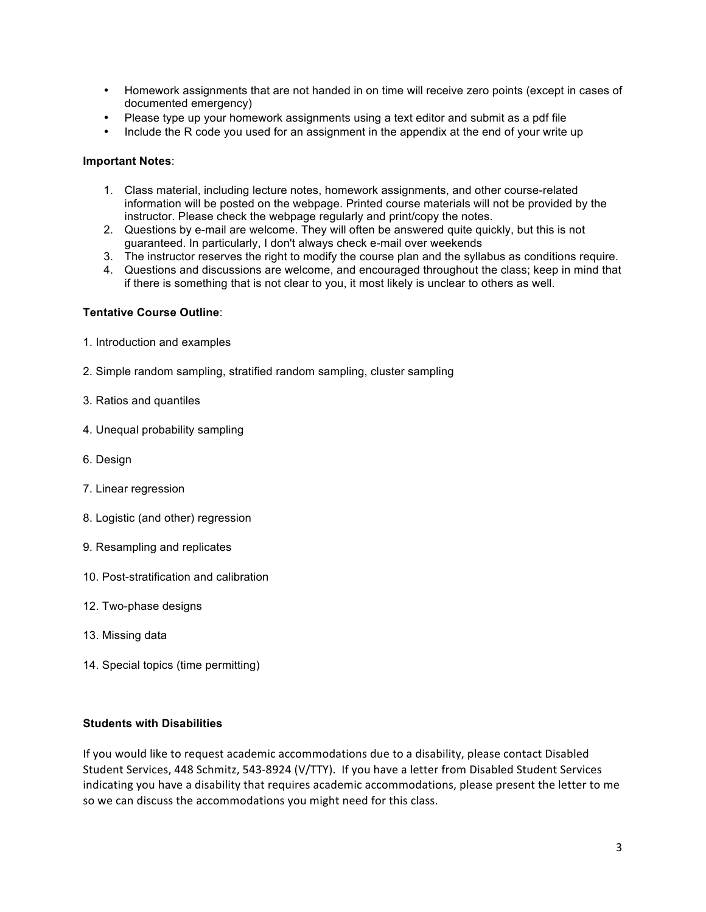- Homework assignments that are not handed in on time will receive zero points (except in cases of documented emergency)
- Please type up your homework assignments using a text editor and submit as a pdf file
- Include the R code you used for an assignment in the appendix at the end of your write up

## **Important Notes**:

- 1. Class material, including lecture notes, homework assignments, and other course-related information will be posted on the webpage. Printed course materials will not be provided by the instructor. Please check the webpage regularly and print/copy the notes.
- 2. Questions by e-mail are welcome. They will often be answered quite quickly, but this is not guaranteed. In particularly, I don't always check e-mail over weekends
- 3. The instructor reserves the right to modify the course plan and the syllabus as conditions require.
- 4. Questions and discussions are welcome, and encouraged throughout the class; keep in mind that if there is something that is not clear to you, it most likely is unclear to others as well.

## **Tentative Course Outline**:

- 1. Introduction and examples
- 2. Simple random sampling, stratified random sampling, cluster sampling
- 3. Ratios and quantiles
- 4. Unequal probability sampling
- 6. Design
- 7. Linear regression
- 8. Logistic (and other) regression
- 9. Resampling and replicates
- 10. Post-stratification and calibration
- 12. Two-phase designs
- 13. Missing data
- 14. Special topics (time permitting)

## **Students with Disabilities**

If you would like to request academic accommodations due to a disability, please contact Disabled Student Services, 448 Schmitz, 543-8924 (V/TTY). If you have a letter from Disabled Student Services indicating you have a disability that requires academic accommodations, please present the letter to me so we can discuss the accommodations you might need for this class.